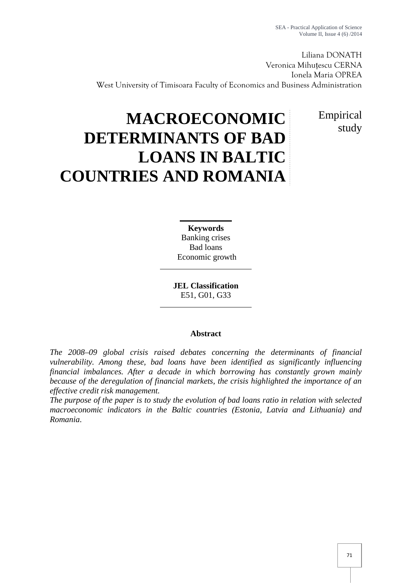Liliana DONATH Veronica Mihuțescu CERNA Ionela Maria OPREA West University of Timisoara Faculty of Economics and Business Administration

> Empirical study

# **MACROECONOMIC DETERMINANTS OF BAD LOANS IN BALTIC COUNTRIES AND ROMANIA**

**Keywords** Banking crises Bad loans Economic growth

**JEL Classification** E51, G01, G33

# **Abstract**

*The 2008–09 global crisis raised debates concerning the determinants of financial vulnerability. Among these, bad loans have been identified as significantly influencing financial imbalances. After a decade in which borrowing has constantly grown mainly because of the deregulation of financial markets, the crisis highlighted the importance of an effective credit risk management.*

*The purpose of the paper is to study the evolution of bad loans ratio in relation with selected macroeconomic indicators in the Baltic countries (Estonia, Latvia and Lithuania) and Romania*.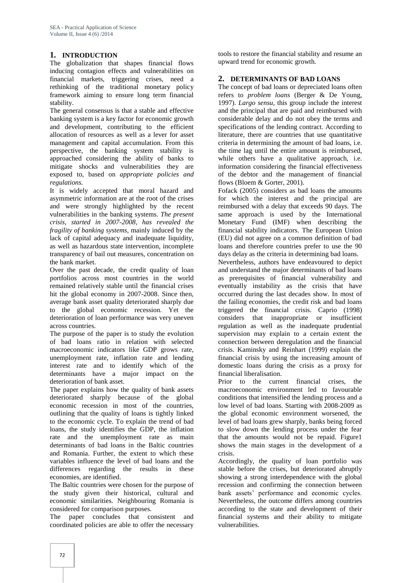# **1. INTRODUCTION**

The globalization that shapes financial flows inducing contagion effects and vulnerabilities on financial markets, triggering crises, need a rethinking of the traditional monetary policy framework aiming to ensure long term financial stability.

The general consensus is that a stable and effective banking system is a key factor for economic growth and development, contributing to the efficient allocation of resources as well as a lever for asset management and capital accumulation. From this perspective, the banking system stability is approached considering the ability of banks to mitigate shocks and vulnerabilities they are exposed to, based on *appropriate policies and regulations.*

It is widely accepted that moral hazard and asymmetric information are at the root of the crises and were strongly highlighted by the recent vulnerabilities in the banking systems. *The present crisis, started in 2007-2008, has revealed the fragility of banking systems*, mainly induced by the lack of capital adequacy and inadequate liquidity, as well as hazardous state intervention, incomplete transparency of bail out measures, concentration on the bank market.

Over the past decade, the credit quality of loan portfolios across most countries in the world remained relatively stable until the financial crises hit the global economy in 2007-2008. Since then, average bank asset quality deteriorated sharply due to the global economic recession. Yet the deterioration of loan performance was very uneven across countries.

The purpose of the paper is to study the evolution of bad loans ratio in relation with selected macroeconomic indicators like GDP grows rate, unemployment rate, inflation rate and lending interest rate and to identify which of the determinants have a major impact on the deterioration of bank asset.

The paper explains how the quality of bank assets deteriorated sharply because of the global economic recession in most of the countries, outlining that the quality of loans is tightly linked to the economic cycle. To explain the trend of bad loans, the study identifies the GDP, the inflation rate and the unemployment rate as main determinants of bad loans in the Baltic countries and Romania. Further, the extent to which these variables influence the level of bad loans and the differences regarding the results in these economies, are identified.

The Baltic countries were chosen for the purpose of the study given their historical, cultural and economic similarities. Neighbouring Romania is considered for comparison purposes.

The paper concludes that consistent and coordinated policies are able to offer the necessary

tools to restore the financial stability and resume an upward trend for economic growth.

## **2. DETERMINANTS OF BAD LOANS**

The concept of bad loans or depreciated loans often refers to *problem loans* (Berger & De Young, 1997). *Largo sensu*, this group include the interest and the principal that are paid and reimbursed with considerable delay and do not obey the terms and specifications of the lending contract. According to literature, there are countries that use quantitative criteria in determining the amount of bad loans, i.e. the time lag until the entire amount is reimbursed, while others have a qualitative approach, i.e. information considering the financial effectiveness of the debtor and the management of financial flows (Bloem & Gorter, 2001).

Fofack (2005) considers as bad loans the amounts for which the interest and the principal are reimbursed with a delay that exceeds 90 days. The same approach is used by the International Monetary Fund (IMF) when describing the financial stability indicators. The European Union (EU) did not agree on a common definition of bad loans and therefore countries prefer to use the 90 days delay as the criteria in determining bad loans.

Nevertheless, authors have endeavoured to depict and understand the major determinants of bad loans as prerequisites of financial vulnerability and eventually instability as the crisis that have occurred during the last decades show. In most of the failing economies, the credit risk and bad loans triggered the financial crisis. Caprio (1998) considers that inappropriate or insufficient regulation as well as the inadequate prudential supervision may explain to a certain extent the connection between deregulation and the financial crisis. Kaminsky and Reinhart (1999) explain the financial crisis by using the increasing amount of domestic loans during the crisis as a proxy for financial liberalisation.

Prior to the current financial crises, the macroeconomic environment led to favourable conditions that intensified the lending process and a low level of bad loans. Starting with 2008-2009 as the global economic environment worsened, the level of bad loans grew sharply, banks being forced to slow down the lending process under the fear that the amounts would not be repaid. Figure1 shows the main stages in the development of a crisis.

Accordingly, the quality of loan portfolio was stable before the crises, but deteriorated abruptly showing a strong interdependence with the global recession and confirming the connection between bank assets' performance and economic cycles. Nevertheless, the outcome differs among countries according to the state and development of their financial systems and their ability to mitigate vulnerabilities.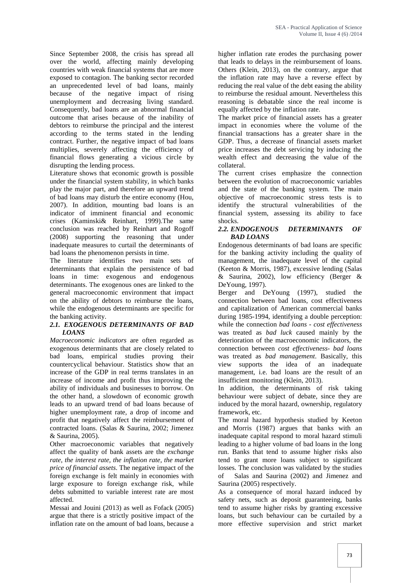Since September 2008, the crisis has spread all over the world, affecting mainly developing countries with weak financial systems that are more exposed to contagion. The banking sector recorded an unprecedented level of bad loans, mainly because of the negative impact of rising unemployment and decreasing living standard. Consequently, bad loans are an abnormal financial outcome that arises because of the inability of debtors to reimburse the principal and the interest according to the terms stated in the lending contract. Further, the negative impact of bad loans multiplies, severely affecting the efficiency of financial flows generating a vicious circle by disrupting the lending process.

Literature shows that economic growth is possible under the financial system stability, in which banks play the major part, and therefore an upward trend of bad loans may disturb the entire economy (Hou, 2007). In addition, mounting bad loans is an indicator of imminent financial and economic crises (Kaminski& Reinhart, 1999).The same conclusion was reached by Reinhart and Rogoff (2008) supporting the reasoning that under inadequate measures to curtail the determinants of bad loans the phenomenon persists in time.

The literature identifies two main sets of determinants that explain the persistence of bad loans in time: exogenous and endogenous determinants. The exogenous ones are linked to the general macroeconomic environment that impact on the ability of debtors to reimburse the loans, while the endogenous determinants are specific for the banking activity.

## *2.1. EXOGENOUS DETERMINANTS OF BAD LOANS*

*Macroeconomic indicators* are often regarded as exogenous determinants that are closely related to bad loans, empirical studies proving their countercyclical behaviour. Statistics show that an increase of the GDP in real terms translates in an increase of income and profit thus improving the ability of individuals and businesses to borrow. On the other hand, a slowdown of economic growth leads to an upward trend of bad loans because of higher unemployment rate, a drop of income and profit that negatively affect the reimbursement of contracted loans. (Salas & Saurina, 2002; Jimenez & Saurina, 2005).

Other macroeconomic variables that negatively affect the quality of bank assets are the *exchange rate, the interest rate, the inflation rate, the market price of financial assets*. The negative impact of the foreign exchange is felt mainly in economies with large exposure to foreign exchange risk, while debts submitted to variable interest rate are most affected.

Messai and Jouini (2013) as well as Fofack (2005) argue that there is a strictly positive impact of the inflation rate on the amount of bad loans, because a

higher inflation rate erodes the purchasing power that leads to delays in the reimbursement of loans. Others (Klein, 2013), on the contrary, argue that the inflation rate may have a reverse effect by reducing the real value of the debt easing the ability to reimburse the residual amount. Nevertheless this reasoning is debatable since the real income is equally affected by the inflation rate.

The market price of financial assets has a greater impact in economies where the volume of the financial transactions has a greater share in the GDP. Thus, a decrease of financial assets market price increases the debt servicing by inducing the wealth effect and decreasing the value of the collateral.

The current crises emphasize the connection between the evolution of macroeconomic variables and the state of the banking system. The main objective of macroeconomic stress tests is to identify the structural vulnerabilities of the financial system, assessing its ability to face shocks.

#### *2.2. ENDOGENOUS DETERMINANTS OF BAD LOANS*

Endogenous determinants of bad loans are specific for the banking activity including the quality of management, the inadequate level of the capital (Keeton & Morris, 1987), excessive lending (Salas & Saurina, 2002), low efficiency (Berger & DeYoung, 1997).

Berger and DeYoung (1997), studied the connection between bad loans, cost effectiveness and capitalization of American commercial banks during 1985-1994, identifying a double perception: while the connection *bad loans - cost effectiveness* was treated as *bad luck* caused mainly by the deterioration of the macroeconomic indicators, the connection between *cost effectiveness- bad loans* was treated as *bad management*. Basically, this view supports the idea of an inadequate management, i.e. bad loans are the result of an insufficient monitoring (Klein, 2013).

In addition, the determinants of risk taking behaviour were subject of debate, since they are induced by the moral hazard, ownership, regulatory framework, etc.

The moral hazard hypothesis studied by Keeton and Morris (1987) argues that banks with an inadequate capital respond to moral hazard stimuli leading to a higher volume of bad loans in the long run. Banks that tend to assume higher risks also tend to grant more loans subject to significant losses. The conclusion was validated by the studies Salas and Saurina (2002) and Jimenez and Saurina (2005) respectively.

As a consequence of moral hazard induced by safety nets, such as deposit guaranteeing, banks tend to assume higher risks by granting excessive loans, but such behaviour can be curtailed by a more effective supervision and strict market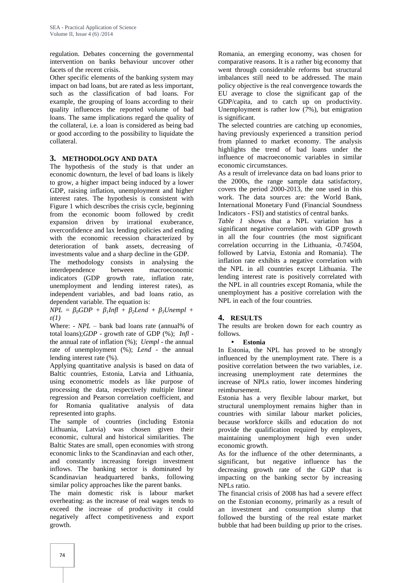regulation. Debates concerning the governmental intervention on banks behaviour uncover other facets of the recent crisis.

Other specific elements of the banking system may impact on bad loans, but are rated as less important, such as the classification of bad loans. For example, the grouping of loans according to their quality influences the reported volume of bad loans. The same implications regard the quality of the collateral, i.e. a loan is considered as being bad or good according to the possibility to liquidate the collateral.

## **3. METHODOLOGY AND DATA**

The hypothesis of the study is that under an economic downturn, the level of bad loans is likely to grow, a higher impact being induced by a lower GDP, raising inflation, unemployment and higher interest rates. The hypothesis is consistent with Figure 1 which describes the crisis cycle, beginning from the economic boom followed by credit expansion driven by irrational exuberance, overconfidence and lax lending policies and ending with the economic recession characterized by deterioration of bank assets, decreasing of investments value and a sharp decline in the GDP.

The methodology consists in analysing the interdependence between macroeconomic indicators (GDP growth rate, inflation rate, unemployment and lending interest rates), as independent variables, and bad loans ratio, as dependent variable. The equation is:

 $NPL = \rho GDP + \rho Intl + \rho ZL$  + *β2Lend +*  $\beta$ *Jnempl + ε(1)*

Where: - *NPL* – bank bad loans rate (annual% of total loans);*GDP* - growth rate of GDP (%); *Infl* the annual rate of inflation (%); *Uempl* - the annual rate of unemployment (%); *Lend* - the annual lending interest rate (%).

Applying quantitative analysis is based on data of Baltic countries, Estonia, Latvia and Lithuania, using econometric models as like purpose of processing the data, respectively multiple linear regression and Pearson correlation coefficient, and for Romania qualitative analysis of data represented into graphs.

The sample of countries (including Estonia Lithuania, Latvia) was chosen given their economic, cultural and historical similarities. The Baltic States are small, open economies with strong economic links to the Scandinavian and each other, and constantly increasing foreign investment inflows. The banking sector is dominated by Scandinavian headquartered banks, following similar policy approaches like the parent banks.

The main domestic risk is labour market overheating: as the increase of real wages tends to exceed the increase of productivity it could negatively affect competitiveness and export growth.

Romania, an emerging economy, was chosen for comparative reasons. It is a rather big economy that went through considerable reforms but structural imbalances still need to be addressed. The main policy objective is the real convergence towards the EU average to close the significant gap of the GDP/capita, and to catch up on productivity. Unemployment is rather low (7%), but emigration is significant.

The selected countries are catching up economies, having previously experienced a transition period from planned to market economy. The analysis highlights the trend of bad loans under the influence of macroeconomic variables in similar economic circumstances.

As a result of irrelevance data on bad loans prior to the 2000s, the range sample data satisfactory, covers the period 2000-2013, the one used in this work. The data sources are: the World Bank, International Monetary Fund (Financial Soundness Indicators - FSI) and statistics of central banks.

*Table 1* shows that a NPL variation has a significant negative correlation with GDP growth in all the four countries (the most significant correlation occurring in the Lithuania, -0.74504, followed by Latvia, Estonia and Romania). The inflation rate exhibits a negative correlation with the NPL in all countries except Lithuania. The lending interest rate is positively correlated with the NPL in all countries except Romania, while the unemployment has a positive correlation with the NPL in each of the four countries.

## **4. RESULTS**

The results are broken down for each country as follows.

## **Estonia**

In Estonia, the NPL has proved to be strongly influenced by the unemployment rate. There is a positive correlation between the two variables, i.e. increasing unemployment rate determines the increase of NPLs ratio, lower incomes hindering reimbursement.

Estonia has a very flexible labour market, but structural unemployment remains higher than in countries with similar labour market policies, because workforce skills and education do not provide the qualification required by employers, maintaining unemployment high even under economic growth.

As for the influence of the other determinants, a significant, but negative influence has the decreasing growth rate of the GDP that is impacting on the banking sector by increasing NPLs ratio.

The financial crisis of 2008 has had a severe effect on the Estonian economy, primarily as a result of an investment and consumption slump that followed the bursting of the real estate market bubble that had been building up prior to the crises.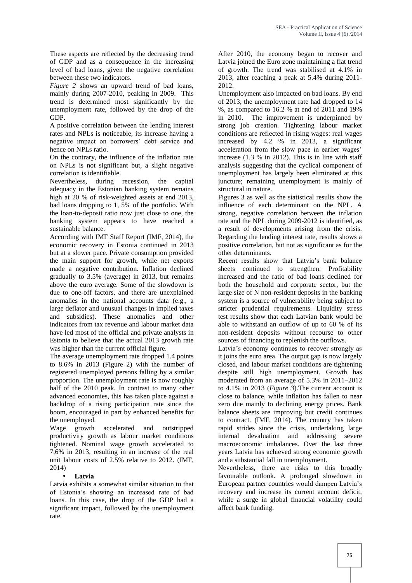These aspects are reflected by the decreasing trend of GDP and as a consequence in the increasing level of bad loans, given the negative correlation between these two indicators.

*Figure 2* shows an upward trend of bad loans, mainly during 2007-2010, peaking in 2009. This trend is determined most significantly by the unemployment rate, followed by the drop of the GDP.

A positive correlation between the lending interest rates and NPLs is noticeable, its increase having a negative impact on borrowers' debt service and hence on NPLs ratio.

On the contrary, the influence of the inflation rate on NPLs is not significant but, a slight negative correlation is identifiable.

Nevertheless, during recession, the capital adequacy in the Estonian banking system remains high at 20 % of risk-weighted assets at end 2013, bad loans dropping to 1, 5% of the portfolio. With the loan-to-deposit ratio now just close to one, the banking system appears to have reached a sustainable balance.

According with IMF Staff Report (IMF, 2014), the economic recovery in Estonia continued in 2013 but at a slower pace. Private consumption provided the main support for growth, while net exports made a negative contribution. Inflation declined gradually to 3.5% (average) in 2013, but remains above the euro average. Some of the slowdown is due to one-off factors, and there are unexplained anomalies in the national accounts data (e.g., a large deflator and unusual changes in implied taxes and subsidies). These anomalies and other indicators from tax revenue and labour market data have led most of the official and private analysts in Estonia to believe that the actual 2013 growth rate was higher than the current official figure.

The average unemployment rate dropped 1.4 points to 8.6% in 2013 (Figure 2) with the number of registered unemployed persons falling by a similar proportion. The unemployment rate is now roughly half of the 2010 peak. In contrast to many other advanced economies, this has taken place against a backdrop of a rising participation rate since the boom, encouraged in part by enhanced benefits for the unemployed.

Wage growth accelerated and outstripped productivity growth as labour market conditions tightened. Nominal wage growth accelerated to 7,6% in 2013, resulting in an increase of the real unit labour costs of 2.5% relative to 2012. (IMF, 2014)

### **Latvia**

Latvia exhibits a somewhat similar situation to that of Estonia's showing an increased rate of bad loans. In this case, the drop of the GDP had a significant impact, followed by the unemployment rate.

After 2010, the economy began to recover and Latvia joined the Euro zone maintaining a flat trend of growth. The trend was stabilised at 4.1% in 2013, after reaching a peak at 5.4% during 2011- 2012.

Unemployment also impacted on bad loans. By end of 2013, the unemployment rate had dropped to 14 %, as compared to 16.2 % at end of 2011 and 19% in 2010. The improvement is underpinned by strong job creation. Tightening labour market conditions are reflected in rising wages: real wages increased by 4.2 % in 2013, a significant acceleration from the slow pace in earlier wages' increase (1.3 % in 2012). This is in line with staff analysis suggesting that the cyclical component of unemployment has largely been eliminated at this juncture; remaining unemployment is mainly of structural in nature.

Figures 3 as well as the statistical results show the influence of each determinant on the NPL. A strong, negative correlation between the inflation rate and the NPL during 2009-2012 is identified, as a result of developments arising from the crisis. Regarding the lending interest rate, results shows a positive correlation, but not as significant as for the other determinants.

Recent results show that Latvia's bank balance sheets continued to strengthen. Profitability increased and the ratio of bad loans declined for both the household and corporate sector, but the large size of N non-resident deposits in the banking system is a source of vulnerability being subject to stricter prudential requirements. Liquidity stress test results show that each Latvian bank would be able to withstand an outflow of up to 60 % of its non-resident deposits without recourse to other sources of financing to replenish the outflows.

Latvia's economy continues to recover strongly as it joins the euro area. The output gap is now largely closed, and labour market conditions are tightening despite still high unemployment. Growth has moderated from an average of 5.3% in 2011–2012 to 4.1% in 2013 (*Figure 3*).The current account is close to balance, while inflation has fallen to near zero due mainly to declining energy prices. Bank balance sheets are improving but credit continues to contract. (IMF, 2014). The country has taken rapid strides since the crisis, undertaking large internal devaluation and addressing severe macroeconomic imbalances. Over the last three years Latvia has achieved strong economic growth and a substantial fall in unemployment.

Nevertheless, there are risks to this broadly favourable outlook. A prolonged slowdown in European partner countries would dampen Latvia's recovery and increase its current account deficit, while a surge in global financial volatility could affect bank funding.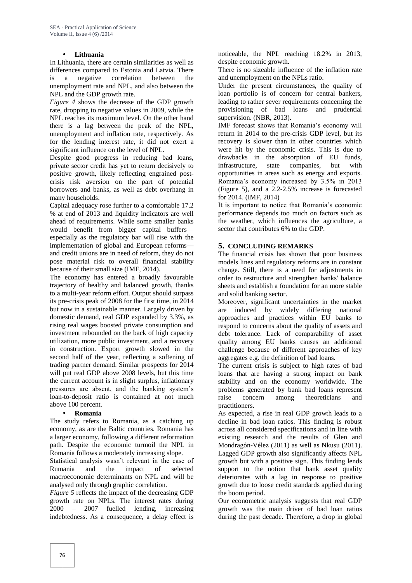## **Lithuania**

In Lithuania, there are certain similarities as well as differences compared to Estonia and Latvia. There is a negative correlation between the unemployment rate and NPL, and also between the NPL and the GDP growth rate.

*Figure 4* shows the decrease of the GDP growth rate, dropping to negative values in 2009, while the NPL reaches its maximum level. On the other hand there is a lag between the peak of the NPL, unemployment and inflation rate, respectively. As for the lending interest rate, it did not exert a significant influence on the level of NPL.

Despite good progress in reducing bad loans, private sector credit has yet to return decisively to positive growth, likely reflecting engrained post crisis risk aversion on the part of potential borrowers and banks, as well as debt overhang in many households.

Capital adequacy rose further to a comfortable 17.2 % at end of 2013 and liquidity indicators are well ahead of requirements. While some smaller banks would benefit from bigger capital buffers especially as the regulatory bar will rise with the implementation of global and European reforms and credit unions are in need of reform, they do not pose material risk to overall financial stability because of their small size (IMF, 2014).

The economy has entered a broadly favourable trajectory of healthy and balanced growth, thanks to a multi-year reform effort. Output should surpass its pre-crisis peak of 2008 for the first time, in 2014 but now in a sustainable manner. Largely driven by domestic demand, real GDP expanded by 3.3%, as rising real wages boosted private consumption and investment rebounded on the back of high capacity utilization, more public investment, and a recovery in construction. Export growth slowed in the second half of the year, reflecting a softening of trading partner demand. Similar prospects for 2014 will put real GDP above 2008 levels, but this time the current account is in slight surplus, inflationary pressures are absent, and the banking system's loan-to-deposit ratio is contained at not much above 100 percent.

### **Romania**

The study refers to Romania, as a catching up economy, as are the Baltic countries. Romania has a larger economy, following a different reformation path. Despite the economic turmoil the NPL in Romania follows a moderately increasing slope.

Statistical analysis wasn't relevant in the case of Rumania and the impact of selected macroeconomic determinants on NPL and will be analysed only through graphic correlation.

*Figure 5* reflects the impact of the decreasing GDP growth rate on NPLs. The interest rates during 2000 – 2007 fuelled lending, increasing indebtedness. As a consequence, a delay effect is

noticeable, the NPL reaching 18.2% in 2013, despite economic growth.

There is no sizeable influence of the inflation rate and unemployment on the NPLs ratio.

Under the present circumstances, the quality of loan portfolio is of concern for central bankers, leading to rather sever requirements concerning the provisioning of bad loans and prudential supervision. (NBR, 2013).

IMF forecast shows that Romania's economy will return in 2014 to the pre-crisis GDP level, but its recovery is slower than in other countries which were hit by the economic crisis. This is due to drawbacks in the absorption of EU funds, infrastructure, state companies, but with opportunities in areas such as energy and exports. Romania's economy increased by 3.5% in 2013 (Figure 5), and a 2.2-2.5% increase is forecasted for 2014. (IMF, 2014)

It is important to notice that Romania's economic performance depends too much on factors such as the weather, which influences the agriculture, a sector that contributes 6% to the GDP.

### **5. CONCLUDING REMARKS**

The financial crisis has shown that poor business models lines and regulatory reforms are in constant change. Still, there is a need for adjustments in order to restructure and strengthen banks' balance sheets and establish a foundation for an more stable and solid banking sector.

Moreover, significant uncertainties in the market induced by widely differing national approaches and practices within EU banks to respond to concerns about the quality of assets and debt tolerance. Lack of comparability of asset quality among EU banks causes an additional challenge because of different approaches of key aggregates e.g. the definition of bad loans.

The current crisis is subject to high rates of bad loans that are having a strong impact on bank stability and on the economy worldwide. The problems generated by bank bad loans represent concern among theoreticians and practitioners.

As expected, a rise in real GDP growth leads to a decline in bad loan ratios. This finding is robust across all considered specifications and in line with existing research and the results of Glen and Mondragón-Vélez (2011) as well as Nkusu (2011). Lagged GDP growth also significantly affects NPL growth but with a positive sign. This finding lends support to the notion that bank asset quality deteriorates with a lag in response to positive growth due to loose credit standards applied during the boom period.

Our econometric analysis suggests that real GDP growth was the main driver of bad loan ratios during the past decade. Therefore, a drop in global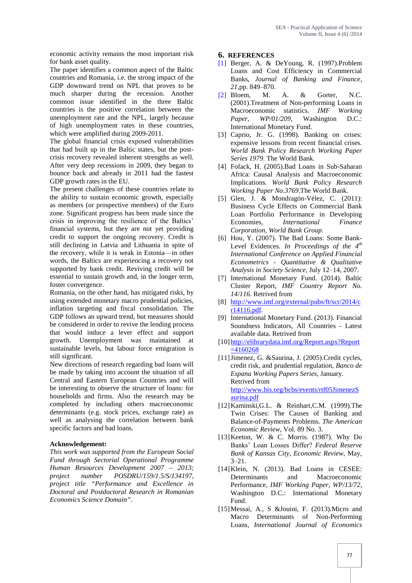economic activity remains the most important risk for bank asset quality.

The paper identifies a common aspect of the Baltic countries and Romania, i.e. the strong impact of the GDP downward trend on NPL that proves to be much sharper during the recession. Another common issue identified in the three Baltic countries is the positive correlation between the unemployment rate and the NPL, largely because of high unemployment rates in these countries, which were amplified during 2009-2011.

The global financial crisis exposed vulnerabilities that had built up in the Baltic states, but the post crisis recovery revealed inherent strengths as well. After very deep recessions in 2009, they began to bounce back and already in 2011 had the fastest GDP growth rates in the EU.

The present challenges of these countries relate to the ability to sustain economic growth, especially as members (or prospective members) of the Euro zone. Significant progress has been made since the crisis in improving the resilience of the Baltics' financial systems, but they are not yet providing credit to support the ongoing recovery. Credit is still declining in Latvia and Lithuania in spite of the recovery, while it is weak in Estonia—in other words, the Baltics are experiencing a recovery not supported by bank credit. Reviving credit will be essential to sustain growth and, in the longer term, foster convergence.

Romania, on the other hand, has mitigated risks, by using extended monetary macro prudential policies, inflation targeting and fiscal consolidation. The GDP follows an upward trend, but measures should be considered in order to revive the lending process that would induce a lever effect and support growth. Unemployment was maintained at sustainable levels, but labour force emigration is still significant.

New directions of research regarding bad loans will be made by taking into account the situation of all Central and Eastern European Countries and will be interesting to observe the structure of loans: for households and firms. Also the research may be completed by including others macroeconomic determinants (e.g. stock prices, exchange rate) as well as analysing the correlation between bank specific factors and bad loans.

### **Acknowledgement:**

*This work was supported from the European Social Fund through Sectorial Operational Programme Human Resources Development 2007 – 2013; project number POSDRU/159/1.5/S/134197, project title "Performance and Excellence in Doctoral and Postdoctoral Research in Romanian Economics Science Domain".*

#### **6. REFERENCES**

- [1] Berger, A. & DeYoung, R. (1997).Problem Loans and Cost Efficiency in Commercial Banks, *Journal of Banking and Finance*, *21*,pp. 849–870.
- [2] Bloem, M. A. & Gorter, N.C. (2001).Treatment of Non-performing Loans in Macroeconomic statistics. *IMF Working Paper, WP/01/209,* Washington D.C.: International Monetary Fund.
- [3] Caprio, Jr. G. (1998). Banking on crises: expensive lessons from recent financial crises. *World Bank Policy Research Working Paper Series 1979*. The World Bank.
- [4] Fofack, H. (2005).Bad Loans in Sub-Saharan Africa: Causal Analysis and Macroeconomic Implications. *World Bank Policy Research Working Paper No.3769*.The World Bank.
- [5] Glen, J. & Mondragón-Vélez, C. (2011): Business Cycle Effects on Commercial Bank Loan Portfolio Performance in Developing Economies, *International Finance Corporation, World Bank Group.*
- [6] Hou, Y. (2007). The Bad Loans: Some Bank- Level Evidences*. In Proceedings of the 4th International Conference on Applied Financial Econometrics - Quantitative & Qualitative Analysis in Society Science,* July 12–14, 2007.
- [7] International Monetary Fund. (2014). Baltic Cluster Report, *IMF Country Report No. 14/116*. Retrived from
- [8] http://www.imf.org/external/pubs/ft/scr/2014/c r14116.pdf.
- [9] International Monetary Fund. (2013). Financial Soundness Indicators, All Countries - Latest available data. Retrived from
- [10] http://elibrarydata.imf.org/Report.aspx?Report  $=4160268$
- [11] Jimenez, G. & Saurina, J. (2005). Credit cycles, credit risk, and prudential regulation*, Banco de Espana Working Papers Series*, January. Retrived from http://www.bis.org/bcbs/events/rtf05JimenezS aurina.pdf
- [12]Kaminski,G.L. & Reinhart,C.M. (1999).The Twin Crises: The Causes of Banking and Balance-of-Payments Problems. *The American Economic Review*, Vol. 89 No. 3.
- [13] Keeton, W. & C. Morris. (1987). Why Do Banks' Loan Losses Differ? *Federal Reserve Bank of Kansas City, Economic Review*, May, 3–21.
- [14] Klein, N. (2013). Bad Loans in CESEE: Determinants and Macroeconomic Performance, *IMF Working Paper, WP/13/72*, Washington D.C.: International Monetary Fund.
- [15]Messai, A., S &Jouini, F. (2013).Micro and Macro Determinants of Non-Performing Loans, *International Journal of Economics*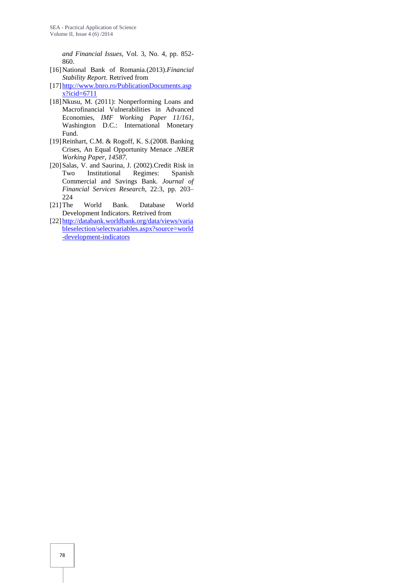*and Financial Issues*, Vol. 3, No. 4, pp. 852- 860.

- [16]National Bank of Romania.(2013).*Financial Stability Report*. Retrived from
- [17] http://www.bnro.ro/PublicationDocuments.asp x?icid=6711
- [18]Nkusu, M. (2011): Nonperforming Loans and Macrofinancial Vulnerabilities in Advanced Economies, *IMF Working Paper 11/161*, Washington D.C.: International Monetary Fund.
- [19]Reinhart, C.M. & Rogoff, K. S.(2008*.* Banking Crises, An Equal Opportunity Menace .*NBER Working Paper, 14587*.
- [20] Salas, V. and Saurina, J. (2002). Credit Risk in Two Institutional Regimes: Spanish Commercial and Savings Bank. *Journal of Financial Services Research*, 22:3, pp. 203– 224
- [21]The World Bank. Database World Development Indicators. Retrived from
- [22] http://databank.worldbank.org/data/views/varia bleselection/selectvariables.aspx?source=world -development-indicators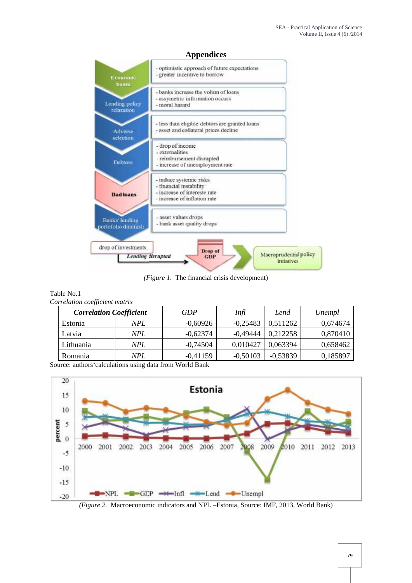

*(Figure 1.* The financial crisis development)<br>No.1

| Correlation coefficient matrix |            |            |            |            |          |
|--------------------------------|------------|------------|------------|------------|----------|
| <b>Correlation Coefficient</b> |            | GDP        | Infl       | Lend       | Unempl   |
| Estonia                        | <b>NPL</b> | $-0,60926$ | $-0.25483$ | 0.511262   | 0,674674 |
| Latvia                         | <b>NPL</b> | $-0,62374$ | -0,49444   | 0,212258   | 0,870410 |
| Lithuania                      | NPL        | $-0.74504$ | 0,010427   | 0,063394   | 0,658462 |
| Romania                        | <b>NPL</b> | $-0.41159$ | $-0,50103$ | $-0.53839$ | 0,185897 |

Source: authors calculations using data from World Bank

Table No.1



*(Figure 2.* Macroeconomic indicators and NPL –Estonia, Source: IMF, 2013, World Bank)